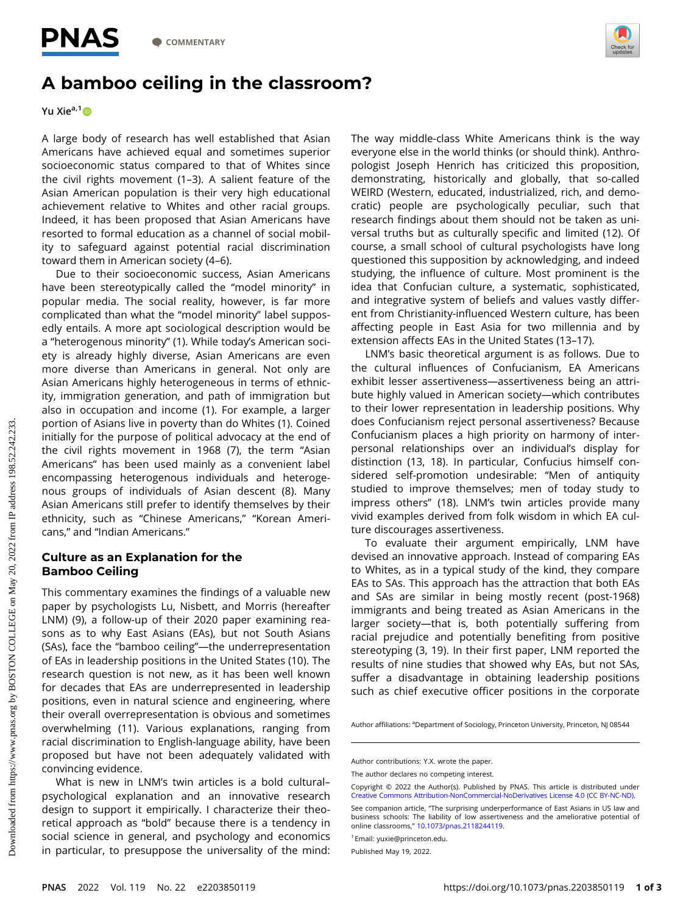

## A bamboo ceiling in the classroom?

Yu Xie<sup>a,1</sup>

A large body of research has well established that Asian Americans have achieved equal and sometimes superior socioeconomic status compared to that of Whites since the civil rights movement (1–3). A salient feature of the Asian American population is their very high educational achievement relative to Whites and other racial groups. Indeed, it has been proposed that Asian Americans have resorted to formal education as a channel of social mobility to safeguard against potential racial discrimination toward them in American society (4–6).

Due to their socioeconomic success, Asian Americans have been stereotypically called the "model minority" in popular media. The social reality, however, is far more complicated than what the "model minority" label supposedly entails. A more apt sociological description would be a "heterogenous minority" (1). While today's American society is already highly diverse, Asian Americans are even more diverse than Americans in general. Not only are Asian Americans highly heterogeneous in terms of ethnicity, immigration generation, and path of immigration but also in occupation and income (1). For example, a larger portion of Asians live in poverty than do Whites (1). Coined initially for the purpose of political advocacy at the end of the civil rights movement in 1968 (7), the term "Asian Americans" has been used mainly as a convenient label encompassing heterogenous individuals and heterogenous groups of individuals of Asian descent (8). Many Asian Americans still prefer to identify themselves by their ethnicity, such as "Chinese Americans," "Korean Americans," and "Indian Americans."

## Culture as an Explanation for the abamboo ceelling

This commentary examines the findings of a valuable new paper by psychologists Lu, Nisbett, and Morris (hereafter LNM) (9), a follow-up of their 2020 paper examining reasons as to why East Asians (EAs), but not South Asians (SAs), face the "bamboo ceiling"—the underrepresentation of EAs in leadership positions in the United States (10). The research question is not new, as it has been well known for decades that EAs are underrepresented in leadership positions, even in natural science and engineering, where their overall overrepresentation is obvious and sometimes overwhelming (11). Various explanations, ranging from racial discrimination to English-language ability, have been proposed but have not been adequately validated with convincing evidence.

What is new in LNM's twin articles is a bold cultural– psychological explanation and an innovative research design to support it empirically. I characterize their theoretical approach as "bold" because there is a tendency in social science in general, and psychology and economics in particular, to presuppose the universality of the mind: The way middle-class White Americans think is the way everyone else in the world thinks (or should think). Anthropologist Joseph Henrich has criticized this proposition, demonstrating, historically and globally, that so-called WEIRD (Western, educated, industrialized, rich, and democratic) people are psychologically peculiar, such that research findings about them should not be taken as universal truths but as culturally specific and limited (12). Of course, a small school of cultural psychologists have long questioned this supposition by acknowledging, and indeed studying, the influence of culture. Most prominent is the idea that Confucian culture, a systematic, sophisticated, and integrative system of beliefs and values vastly different from Christianity-influenced Western culture, has been affecting people in East Asia for two millennia and by extension affects EAs in the United States (13–17).

LNM's basic theoretical argument is as follows. Due to the cultural influences of Confucianism, EA Americans exhibit lesser assertiveness—assertiveness being an attribute highly valued in American society—which contributes to their lower representation in leadership positions. Why does Confucianism reject personal assertiveness? Because Confucianism places a high priority on harmony of interpersonal relationships over an individual's display for distinction (13, 18). In particular, Confucius himself considered self-promotion undesirable: "Men of antiquity studied to improve themselves; men of today study to impress others" (18). LNM's twin articles provide many vivid examples derived from folk wisdom in which EA culture discourages assertiveness.

To evaluate their argument empirically, LNM have devised an innovative approach. Instead of comparing EAs to Whites, as in a typical study of the kind, they compare EAs to SAs. This approach has the attraction that both EAs and SAs are similar in being mostly recent (post-1968) immigrants and being treated as Asian Americans in the larger society—that is, both potentially suffering from racial prejudice and potentially benefiting from positive stereotyping (3, 19). In their first paper, LNM reported the results of nine studies that showed why EAs, but not SAs, suffer a disadvantage in obtaining leadership positions such as chief executive officer positions in the corporate

Author affiliations: <sup>a</sup>Department of Sociology, Princeton University, Princeton, NJ 08544

Author contributions: Y.X. wrote the paper.

The author declares no competing interest.

Copyright © 2022 the Author(s). Published by PNAS. This article is distributed under [Creative Commons Attribution-NonCommercial-NoDerivatives License 4.0 \(CC BY-NC-ND\).](https://creativecommons.org/licenses/by-nc-nd/4.0/)

See companion article, "The surprising underperformance of East Asians in US law and business schools: The liability of low assertiveness and the ameliorative potential of online classrooms," [10.1073/pnas.2118244119.](http://doi.org/10.1073/pnas.2118244119)

<sup>1</sup>Email: [yuxie@princeton.edu.](mailto:yuxie@princeton.edu)

Published May 19, 2022.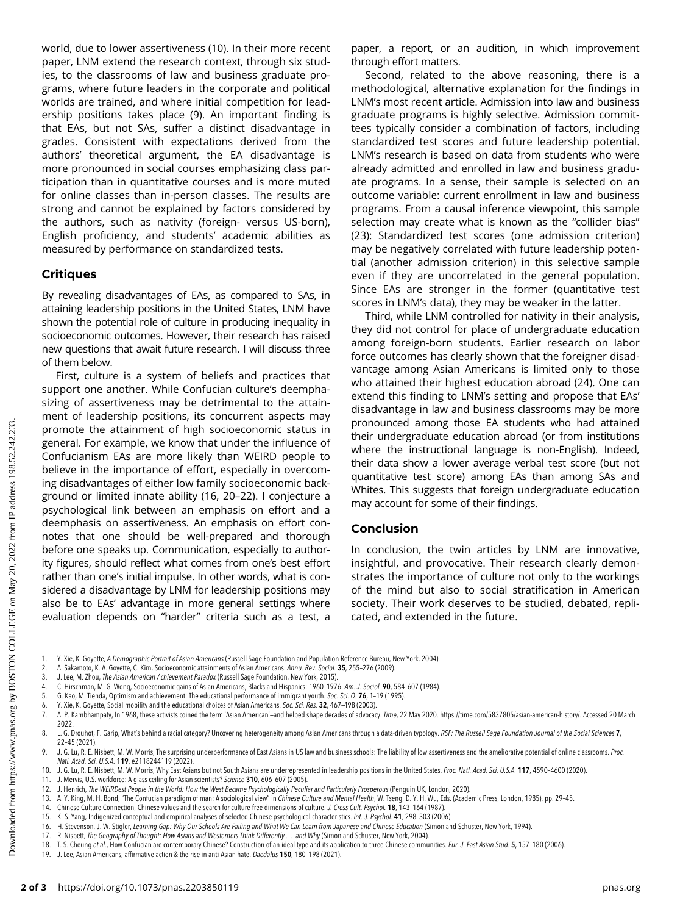world, due to lower assertiveness (10). In their more recent paper, LNM extend the research context, through six studies, to the classrooms of law and business graduate programs, where future leaders in the corporate and political worlds are trained, and where initial competition for leadership positions takes place (9). An important finding is that EAs, but not SAs, suffer a distinct disadvantage in grades. Consistent with expectations derived from the authors' theoretical argument, the EA disadvantage is more pronounced in social courses emphasizing class participation than in quantitative courses and is more muted for online classes than in-person classes. The results are strong and cannot be explained by factors considered by the authors, such as nativity (foreign- versus US-born), English proficiency, and students' academic abilities as measured by performance on standardized tests.

## **Critiques**

By revealing disadvantages of EAs, as compared to SAs, in attaining leadership positions in the United States, LNM have shown the potential role of culture in producing inequality in socioeconomic outcomes. However, their research has raised new questions that await future research. I will discuss three of them below.

First, culture is a system of beliefs and practices that support one another. While Confucian culture's deemphasizing of assertiveness may be detrimental to the attainment of leadership positions, its concurrent aspects may promote the attainment of high socioeconomic status in general. For example, we know that under the influence of Confucianism EAs are more likely than WEIRD people to believe in the importance of effort, especially in overcoming disadvantages of either low family socioeconomic background or limited innate ability (16, 20–22). I conjecture a psychological link between an emphasis on effort and a deemphasis on assertiveness. An emphasis on effort connotes that one should be well-prepared and thorough before one speaks up. Communication, especially to authority figures, should reflect what comes from one's best effort rather than one's initial impulse. In other words, what is considered a disadvantage by LNM for leadership positions may also be to EAs' advantage in more general settings where evaluation depends on "harder" criteria such as a test, a

paper, a report, or an audition, in which improvement through effort matters.

Second, related to the above reasoning, there is a methodological, alternative explanation for the findings in LNM's most recent article. Admission into law and business graduate programs is highly selective. Admission committees typically consider a combination of factors, including standardized test scores and future leadership potential. LNM's research is based on data from students who were already admitted and enrolled in law and business graduate programs. In a sense, their sample is selected on an outcome variable: current enrollment in law and business programs. From a causal inference viewpoint, this sample selection may create what is known as the "collider bias" (23): Standardized test scores (one admission criterion) may be negatively correlated with future leadership potential (another admission criterion) in this selective sample even if they are uncorrelated in the general population. Since EAs are stronger in the former (quantitative test scores in LNM's data), they may be weaker in the latter.

Third, while LNM controlled for nativity in their analysis, they did not control for place of undergraduate education among foreign-born students. Earlier research on labor force outcomes has clearly shown that the foreigner disadvantage among Asian Americans is limited only to those who attained their highest education abroad (24). One can extend this finding to LNM's setting and propose that EAs' disadvantage in law and business classrooms may be more pronounced among those EA students who had attained their undergraduate education abroad (or from institutions where the instructional language is non-English). Indeed, their data show a lower average verbal test score (but not quantitative test score) among EAs than among SAs and Whites. This suggests that foreign undergraduate education may account for some of their findings.

In conclusion, the twin articles by LNM are innovative, insightful, and provocative. Their research clearly demonstrates the importance of culture not only to the workings of the mind but also to social stratification in American society. Their work deserves to be studied, debated, replicated, and extended in the future.

- 1. Y. Xie, K. Goyette, *A Demographic Portrait of Asian Americans* (Russell Sage Foundation and Population Reference Bureau, New York, 2004).<br>2. A. Sakamoto, K. A. Govette, C. Kim. Socioeconomic attainments of Asian Americ
- 2. A. Sakamoto, K. A. Goyette, C. Kim, Socioeconomic attainments of Asian Americans. Annu. Rev. Sociol. 35, 255–276 (2009).<br>3. J. Lee. M. Zhou. The Asian American Achievement Paradox (Russell Sage Foundation. New York. 201
- J. Lee, M. Zhou, The Asian American Achievement Paradox (Russell Sage Foundation, New York, 2015).
- 4. C. Hirschman, M. G. Wong, Socioeconomic gains of Asian Americans, Blacks and Hispanics: 1960–1976. Am. J. Sociol. 90, 584–607 (1984).<br>5. G. Kao. M. Tienda. Ontimism and achievement: The educational performance of immigr
- 5. G. Kao, M. Tienda, Optimism and achievement: The educational performance of immigrant youth. Soc. Sci. Q. 76, 1–19 (1995).
- 6. Y. Xie, K. Goyette, Social mobility and the educational choices of Asian Americans. Soc. Sci. Res. 32, 467–498 (2003).
- 7. A. P. Kambhampaty, In 1968, these activists coined the term 'Asian American'—and helped shape decades of advocacy. Time, 22 May 2020. [https://time.com/5837805/asian-american-history/.](https://time.com/5837805/asian-american-history/) Accessed 20 March 2022.
- 8. L. G. Drouhot, F. Garip, What's behind a racial category? Uncovering heterogeneity among Asian Americans through a data-driven typology. RSF: The Russell Sage Foundation Journal of the Social Sciences 7, 22–45 (2021).
- 9. J. G. Lu, R. E. Nisbett, M. W. Morris, The surprising underperformance of East Asians in US law and business schools: The liability of low assertiveness and the ameliorative potential of online classrooms. Proc. Natl. Acad. Sci. U.S.A. 119, e2118244119 (2022).
- 10. J. G. Lu, R. E. Nisbett, M. W. Morris, Why East Asians but not South Asians are underrepresented in leadership positions in the United States. Proc. Natl. Acad. Sci. U.S.A. 117, 4590-4600 (2020).
- 11. J. Mervis, U.S. workforce: A glass ceiling for Asian scientists? Science 310, 606–607 (2005).
- 12. J. Henrich, The WEIRDest People in the World: How the West Became Psychologically Peculiar and Particularly Prosperous (Penguin UK, London, 2020).<br>13. A. Y. King, M. H. Bond, "The Confucian paradigm of man: A sociologi
- A. Y. King, M. H. Bond, "The Confucian paradigm of man: A sociological view" in Chinese Culture and Mental Health, W. Tseng, D. Y. H. Wu, Eds. (Academic Press, London, 1985), pp. 29-45.
- 14. Chinese Culture Connection, Chinese values and the search for culture-free dimensions of culture. J. Cross Cult. Psychol. 18, 143-164 (1987).<br>15. K.-S. Yang, Indigenized conceptual and empirical analyses of selected Ch
- 15. K.-S. Yang, Indigenized conceptual and empirical analyses of selected Chinese psychological characteristics. Int. J. Psychol. 41, 298–303 (2006).
- 16. H. Stevenson, J. W. Stigler, Learning Gap: Why Our Schools Are Failing and What We Can Learn from Japanese and Chinese Education (Simon and Schuster, New York, 1994).<br>17. R. Nisbett, The Geography of Thought: How Asian
- 17. R. Nisbett, The Geography of Thought: How Asians and Westerners Think Differently … and Why (Simon and Schuster, New York, 2004).
- 18. T. S. Cheung et al., How Confucian are contemporary Chinese? Construction of an ideal type and its application to three Chinese communities. *Eur. J. East Asian Stud.* 5, 157-180 (2006).<br>19. I Lee Asian Americans, affi
- 19. J. Lee, Asian Americans, affirmative action & the rise in anti-Asian hate. Daedalus 150, 180–198 (2021).